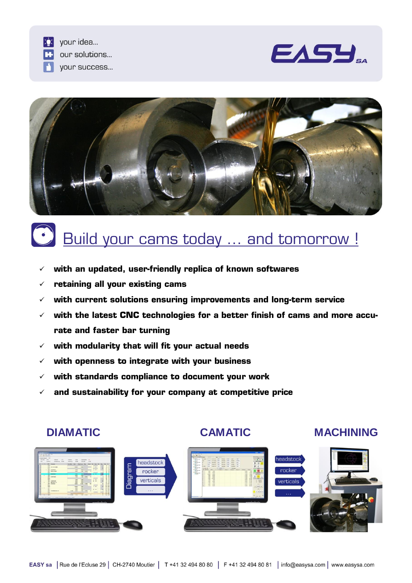





# **Build your cams today ... and tomorrow!**

- **with an updated, user-friendly replica of known softwares**
- **retaining all your existing cams**
- **with current solutions ensuring improvements and long-term service**
- **with the latest CNC technologies for a better finish of cams and more accurate and faster bar turning**
- **with modularity that will fit your actual needs**
- **with openness to integrate with your business**
- **with standards compliance to document your work**
- **and sustainability for your company at competitive price**

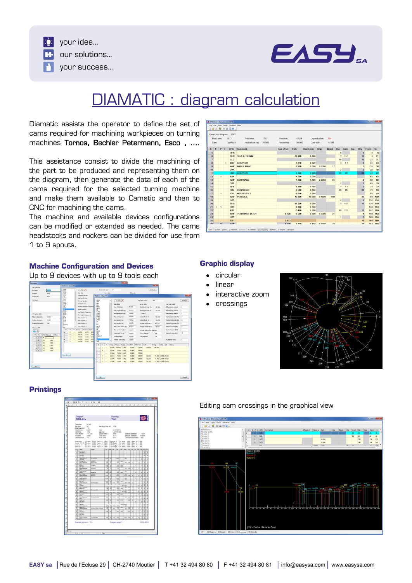

 $\sum$  your idea... our solutions... your success...

# DIAMATIC : diagram calculation

Diamatic assists the operator to define the set of cams required for machining workpieces on turning machines Tornos, Bechler Petermann, Esco , ….

This assistance consist to divide the machining of the part to be produced and representing them on the diagram, then generate the data of each of the cams required for the selected turning machine and make them available to Camatic and then to CNC for machining the cams.

The machine and available devices configurations can be modified or extended as needed. The cams headstocks and rockers can be divided for use from 1 to 9 spouts.

|                     |             |              |            | 19月日10日9.              |                          |                    |           |           |               |          |                         |                         |     |                         |                |     |
|---------------------|-------------|--------------|------------|------------------------|--------------------------|--------------------|-----------|-----------|---------------|----------|-------------------------|-------------------------|-----|-------------------------|----------------|-----|
|                     |             |              |            | Computed diagram: 1793 |                          |                    |           |           |               |          |                         |                         |     |                         |                |     |
|                     | Prod. revs: |              |            | 1017                   | 1777<br>Total revs:      | Poes/min.          | 4.529     |           | Unproductive: | 154      |                         |                         |     |                         |                |     |
|                     | Cam:        |              |            | Tool Nb 3              | 70.500<br>Headstock ray: | Rocker ray:        | 50.000    | Cam path: |               | $-4.190$ |                         |                         |     |                         |                |     |
| $\mathbf{N}$        | E           | P L          |            | <b>OPC</b>             | Comment                  | <b>Tool offset</b> | Path      | Diam/Leng | Chip          | Revol    | Dia                     | Carn                    | Bia | Deg                     | From           | To  |
| $\overline{5}$      |             |              |            | <b>OPC</b>             |                          |                    |           |           |               |          | 6                       |                         |     | в                       | $\Omega$       | 6   |
| $\ddot{\mathbf{s}}$ |             |              |            | <b>RHS</b>             | 18+1.8=19.8MM            |                    | $-19.800$ | 0.000     |               |          | $\overline{\mathbf{z}}$ | 151                     |     | 15                      | $\overline{6}$ | 21  |
| Ÿ                   |             |              |            | CLC                    |                          |                    |           |           |               |          | 10                      |                         |     | 10                      | 21             | 31  |
| R                   |             |              | $\epsilon$ | D03                    | <b>COUPEUR</b>           |                    | 1.310     | 0.620     |               |          | $\blacktriangleleft$    | 31                      |     | $\overline{\mathbf{3}}$ | 31             | 34  |
| $\Omega$            |             |              |            | <b>AHP</b>             | ANGLE AVANT              |                    | 0.300     | 0.300     | 0.0180        | 17       |                         |                         |     | $\overline{\mathbf{3}}$ | 35             | 38  |
| 10                  |             |              |            | <b>DWL</b>             |                          |                    |           |           |               |          | $\overline{2}$          |                         |     | $\overline{2}$          | 38             | 40  |
| 11                  |             |              |            | x <sub>0.3</sub>       | <b>COUPEUR</b>           |                    | 4.190     | 9.000     |               |          | $\overline{\mathbf{z}}$ | $\overline{\mathbf{z}}$ |     | 22                      | 40             | 62  |
| 12                  |             | $\mathbf{1}$ |            | <b>F04</b>             |                          |                    | $-4,500$  | 0.000     |               |          |                         |                         |     |                         | 62             | 62  |
| 13                  |             |              |            | <b>AHP</b>             | <b>CENTRAGE</b>          |                    | 1.100     | 1.400     | 0.0350        | 31       |                         |                         |     | 6                       | 62             | 68  |
| 14                  |             |              |            | <b>DWL</b>             |                          |                    |           |           |               |          | $\overline{z}$          |                         |     | $\overline{z}$          | 68             | 70  |
| 15                  |             |              |            | <b>RHF</b>             |                          |                    | $-1.100$  | 0.300     |               |          | $\overline{\mathbf{z}}$ | 31                      |     | $\overline{\mathbf{3}}$ | 70             | 73  |
| 16                  |             |              |            | X04                    | <b>CENTREUR</b>          |                    | 4.500     | 9,000     |               |          | 20                      | 20                      |     | 20                      | 73             | 93  |
| 17                  |             | $\mathbf{1}$ |            | E11                    | MECHE Ø 1.5              |                    | 0.000     | 0.000     |               |          |                         |                         |     |                         | 93             | 93  |
| 18                  |             |              |            | <b>AHP</b>             | PERCAGE                  |                    | 19,000    | 19,300    | 0.1000        | 190      |                         |                         |     | 39                      | 93             | 132 |
| 19                  |             |              |            | <b>DWL</b>             |                          |                    |           |           |               |          | $\overline{2}$          |                         |     | $\overline{2}$          | 132            | 134 |
| 20                  |             |              |            | <b>RHS</b>             |                          |                    | $-19.300$ | 0.000     |               |          | $\overline{\mathbf{z}}$ | 151                     |     | 15                      | 134 149        |     |
| $\overline{21}$     |             | $\mathbf{1}$ |            | X11                    |                          |                    | 0.000     | 0.000     |               |          |                         |                         |     |                         | 134            | 134 |
| 22                  |             |              |            | E01                    |                          |                    | $-3.400$  | 2.200     |               |          |                         | 10 12!                  |     | 12                      | 147 159        |     |
| 23                  |             |              |            | <b>AHP</b>             | TOURNAGE Ø 2.21          | 0.120              | 0.500     | 0.500     | 0.0300        | 21       |                         |                         |     | $\ddot{\phantom{a}}$    | 159            | 163 |
| 24                  |             |              |            | <b>DWL</b>             |                          |                    |           |           |               |          | 1                       |                         |     | $\mathbf{I}$            | 163 164        |     |
| 25                  |             |              |            | OT1                    |                          | 2.073              |           |           |               |          |                         |                         |     | 16                      | 164            | 180 |
| 26                  |             | $\mathbf{D}$ |            | <b>AUD</b>             |                          | 0.120              | 1.350     | 1.950     | 0.0190        | 75       |                         |                         |     | 16                      | 164 190        |     |

### **Machine Configuration and Devices**

Up to 9 devices with up to 9 tools each

| Initial date                        |                                                   |                                                               |                   |                  |        |              |                          | <b>Contract Contract</b> |                   |            |                         | <b>START</b>                                                 |                      |                       |                           |                   |
|-------------------------------------|---------------------------------------------------|---------------------------------------------------------------|-------------------|------------------|--------|--------------|--------------------------|--------------------------|-------------------|------------|-------------------------|--------------------------------------------------------------|----------------------|-----------------------|---------------------------|-------------------|
| General data                        | Attachment prison LTF                             |                                                               |                   |                  |        |              |                          |                          |                   |            |                         |                                                              |                      |                       |                           |                   |
| 1359<br>Customer:                   | 33036<br>12058                                    | <b>DB</b><br>×                                                |                   | Attachment name: |        | xx           |                          |                          |                   |            |                         | Defaults.                                                    |                      |                       |                           |                   |
| Test<br>Drawing:                    | 12011<br>13.67                                    | Can data                                                      |                   |                  |        | Lever data   |                          |                          | TRAIG (SK)        |            |                         |                                                              |                      |                       |                           |                   |
| EASY<br>Created by:                 | 1368<br>13 <sup>o</sup>                           | Trickness flet cent.                                          | Machine Setup: P7 |                  |        |              |                          |                          |                   |            |                         |                                                              |                      |                       |                           | <b>Controller</b> |
| Commerc                             | <b>LEWA</b><br>12.8                               | Hay, har fixt cars:                                           | AR.10             |                  |        | ٠            | 日日区                      |                          |                   |            | Machine name:           | P2                                                           |                      |                       |                           | Defeults          |
|                                     | $13.8^{\circ}$<br>124<br>12,000                   | His, say fiel care:                                           | 457<br>816        |                  |        |              |                          |                          |                   |            |                         |                                                              |                      |                       |                           |                   |
|                                     | 12/46<br>$r_{\rm F}$                              | <b>Bartra Feb cents</b><br><b>Driveral damater of segment</b> | 620<br>18220      |                  |        |              | Cars data                |                          |                   |            | Lever data              |                                                              |                      |                       | S curves ratios           |                   |
|                                     | 1XA                                               | <b>Baing suprant:</b>                                         | OR32              |                  |        |              | Can Hickness:            |                          | 8.000             |            | Headstock lever Art     | 197.820                                                      |                      |                       | 5 headstock retreat       | i z               |
|                                     | 33.7<br>3328                                      | <b>Ner, feast of separant:</b>                                | D2<br>0.281       |                  |        |              | Max.headstock.rav:       |                          | 80,000            |            | Headquak lever for      | 100,000                                                      |                      |                       | 5 headstock retreat       | $\mathbf{1}$      |
| Vibrigiera data                     | 33029<br>13043<br>Hiri, heads of assessment.      |                                                               |                   | 0282<br>0283     |        |              | Mrs. Peradatook news     |                          | 26,000            | C Officet: |                         |                                                              |                      |                       | 5 headstock retreat<br>13 |                   |
| 7,000<br>Material diameter (        | bia<br>GG 20                                      | Inference level 31                                            | 0.481<br>D482     |                  |        |              | Max Rocker (av)          |                          | 60,000            |            | Rodon lever A:          | 139,650                                                      |                      |                       | Vertical tool entry A1: 7 |                   |
| Nedun dameter:<br>9.000             | 1879<br>126.45                                    | Indexry level 21                                              | 0493              |                  |        |              | <b>Avis Recker cavit</b> |                          | 45,000            |            | Rodov lever R:          | 129,000                                                      |                      |                       | Vertical tool entry A2: 4 |                   |
| 360<br>Distance Fevral diges        | 0013<br>ä                                         | Indexing level 2:                                             | l06<br>594        |                  |        |              | Mrs. Recker next         |                          | 30,000            |            | Verboil tool lever A:   | 87.230                                                       |                      |                       | Verbisel tool entry A3: 1 |                   |
|                                     | PECIDO<br>mi<br><b>Die</b>                        | Information in                                                | MT<br>ME32        |                  |        |              | Max. vertical tool ray:  |                          | 60,000            |            | Vertical tool lever its | 75,000                                                       |                      |                       | Vertical tool exit A Li   | $\frac{1}{2}$     |
| Machiner: M7                        | $\scriptstyle\rm{r}$<br>$\mathbf{u}$<br>r         | Thickness Rate:<br><b>Barns</b>                               | MG7<br>Mt.        |                  |        |              | Mrs. verdical tool rays  |                          | 30,000            |            |                         |                                                              |                      |                       | Vertical tool exit A2:    | $\rightarrow$     |
| M. AL                               | t.<br>×                                           | 12,000<br>1200<br>104,000                                     | Pas               | NA12             |        |              | meadetook boring:        |                          |                   | 20,000     |                         | Vertical tools in/out degrees<br><b>Brity degrees:</b><br>44 |                      | Vertical tool exit&3: |                           | 50                |
| T P M DL stat<br>Officet<br>N       | 225<br>104,000<br>12:000<br>1,000<br>٠<br>15<br>٠ |                                                               |                   |                  |        |              |                          |                          |                   |            |                         |                                                              |                      |                       |                           |                   |
| D.<br>$\Omega$<br>٠                 | ٠                                                 | 12,000<br>1,200<br>104,000                                    | P250LIT<br>P3     |                  |        |              | Rocker boring:           |                          | 20,000            |            | Exit degrees:           | $^{36}$                                                      |                      |                       |                           |                   |
| M<br>9,000<br>$\mathbf{1}$<br>R.    | ٠<br>×<br>٠<br>×<br>s.<br>$\sim$                  | 12,000<br>1.00<br>104,000<br>12.030<br>1,100<br>104,000       | R.12              |                  |        |              | vertical tool boring:    |                          | 30,000            |            |                         |                                                              |                      |                       | Number of tools:          | 5                 |
| M<br>9,000<br>$\overline{ }$<br>۰   |                                                   |                                                               | $^{12}$           | т                | ×      | <b>Bonna</b> | Thick                    | Ratio                    | Min. R/H Mas. R/H |            | A/H                     | Bering                                                       | Entry Exit           |                       | Name                      |                   |
| M<br>$-2,000$<br>31                 |                                                   |                                                               |                   |                  | ٠      | 29,000       | 65,000                   | 1,000                    | 55,000            | 25.000     | 197,820                 | 100,000                                                      |                      |                       |                           |                   |
| 9.000<br>M<br>$\mathbf{z}$<br>M     |                                                   |                                                               |                   | R                |        | 20,000       | 7,000                    | 3,000                    | 28,000            | \$5,000    |                         |                                                              |                      |                       |                           |                   |
| $5$ <sup>F</sup><br>9,000<br>$\sim$ |                                                   |                                                               | 12                | ٠                | ٠      | 20,000       | 7,000                    | 3,000                    | 38,000            | 55/600     |                         |                                                              |                      |                       |                           |                   |
|                                     | $\propto$                                         |                                                               |                   | F                | ٠      | 32,000       | 7,000                    | 1,000                    | 26,000            | 55/000     | 81.320                  |                                                              | 71,000 42,000 45,000 |                       |                           |                   |
|                                     |                                                   |                                                               | и                 | z                | ٠      | 22,000       | 7,000                    | 2,000                    | 26,000            | 55,000     | \$1,220                 |                                                              | 71,000 42,000 45,000 |                       |                           |                   |
|                                     |                                                   |                                                               | k                 | ×                | $\sim$ | 22,000       | 7,000                    | 2,000                    | 25,000            | 55,000     | 81,320                  |                                                              | 71,000 42,000 45,000 |                       |                           |                   |
| $\alpha$                            |                                                   |                                                               |                   |                  |        |              |                          |                          |                   |            |                         |                                                              |                      |                       |                           |                   |
|                                     |                                                   |                                                               |                   |                  |        |              |                          |                          |                   |            |                         |                                                              |                      |                       |                           |                   |
|                                     |                                                   |                                                               |                   |                  |        |              |                          |                          |                   |            |                         |                                                              |                      |                       |                           |                   |
|                                     |                                                   |                                                               |                   | OK-              |        |              |                          |                          |                   |            |                         |                                                              |                      |                       |                           | Cancel            |

### **Graphic display**

- circular
- linear  $\bullet$
- interactive zoom
- crossings



### **Printings**

| Diagram<br>1793.dmx                                                                                                                                                                                                                                                                                       |                                                                                                       |                        |                                   | Test                         | Drawing:                  |                                                                                                                                       |                           |                                       |        |                      |                                                                               | D                             |
|-----------------------------------------------------------------------------------------------------------------------------------------------------------------------------------------------------------------------------------------------------------------------------------------------------------|-------------------------------------------------------------------------------------------------------|------------------------|-----------------------------------|------------------------------|---------------------------|---------------------------------------------------------------------------------------------------------------------------------------|---------------------------|---------------------------------------|--------|----------------------|-------------------------------------------------------------------------------|-------------------------------|
| Customer<br>DEMO<br>Machine:<br>107<br>13Y<br>Attachment(s)<br>EASY<br>Created by<br><b>DMX File</b><br>1793<br>Feed mining<br>177,020<br><b>Pointman</b><br>4.526<br><b>Unproductive</b><br>154                                                                                                          | idently of the set:<br>Date:<br>Material<br>Speed rimin:<br>Total revs:<br>Prod news                  |                        |                                   | 1703<br>sono<br>1777<br>1017 | 14.01.2015<br>LAITON SILA |                                                                                                                                       |                           | Material diameter<br>Modium diameter: |        | Divisions/revolution | 7,000<br>9,000<br>560                                                         |                               |
| Headstack<br>Rocker 1, 2, 3 D.L. start 9,000 Ratio 1 / 3,000<br>Vertical 3<br>Vertical 4                                                                                                                                                                                                                  | DI, start 0.000 Ratio: 17, 1.000<br>DA start -2.000 Ratio 1/ 1.000<br>DJ, start 1.000 Ratio 1 / 2.000 |                        |                                   |                              |                           | Vertical 5 DJ, start 9.000 Ratio 1/ 2.000<br>13Y Seam 2 DIL start: 0.000 Ratio 1 / 1.000<br>13Y Sepn. 3 DA start 0.000 Ratio 1/ 1.000 |                           |                                       |        |                      | 13Y Segn. 1 DL stat: 0.000 Ratio: 1/ 1.000                                    |                               |
| <b>Hiller</b><br>HE.                                                                                                                                                                                                                                                                                      |                                                                                                       |                        |                                   |                              |                           |                                                                                                                                       |                           |                                       |        |                      | Car   Ass   64   Jan   Jan   Lage   Car   Aw   Lag   Jan   Jan   Da   Da   Da | Î                             |
| 12222222<br><b>Name more</b> or a<br>ij<br>Teachers                                                                                                                                                                                                                                                       | <b>Britain Bill</b>                                                                                   | $\overline{1}$         | w                                 |                              | $\overline{a}$            |                                                                                                                                       | w                         |                                       |        | d H-                 | į                                                                             | ÷<br>w<br>ł<br>ł              |
| 3Ì<br>Decipio fair 2<br><b>STORY</b>                                                                                                                                                                                                                                                                      | $10.48 - 8$<br>7777<br>$\overline{\phantom{a}}$                                                       | $-124$<br>73<br>72     | $\overline{136}$<br>9<br>w        |                              | <b>UH</b><br>m<br>w       | 10 <sup>2</sup><br><b>THE</b>                                                                                                         | ₩                         | $\overline{\phantom{a}}$              |        | ī<br>J               | 7<br>š                                                                        | $2.14 - 2.7$<br>÷<br>ij<br>s  |
| š<br><b>Section</b><br>Aberta testa pro<br>š<br>摭                                                                                                                                                                                                                                                         | ದಲ                                                                                                    | 100<br>끠               | 78<br>28                          |                              | 281<br>Ξ                  | TH                                                                                                                                    | ×                         |                                       |        | Ï                    | 1<br>3                                                                        | ٣İ<br>医皮片<br>9                |
| <b>Furner material</b><br>э<br>ij<br><b>AFTER</b><br><b>Bit or legs</b><br>ŵ<br><b>Abana hack pre</b>                                                                                                                                                                                                     | <b>CENTRELA</b><br>$-11$<br><b>HOLAS</b>                                                              | 78<br>$-100$<br>13.90  | $\overline{\mathbf{x}}$<br>谕<br>询 |                              | 73<br>₩<br>'n<br>œ        | <b>A RT</b>                                                                                                                           | $\frac{1}{2}$<br>œ<br>536 |                                       | ٠      | ś                    | śj<br>иt<br>î.                                                                | ÷<br>î<br>쾲                   |
| ₩<br>41<br>쾪<br><b><i><u>Mand Halley of 1</u></i></b>                                                                                                                                                                                                                                                     |                                                                                                       | 4370                   | 꾢                                 |                              | 带                         |                                                                                                                                       | 缯                         |                                       |        | Ŧ<br>ź               | Ŧ<br>彐                                                                        | ÷<br>$\overline{ }$<br>ą<br>읚 |
| <b>SECURI</b><br>의<br>Maria taos ya<br>휿<br><b>Spine</b>                                                                                                                                                                                                                                                  | $1.4462 + 17$                                                                                         | 522<br>$^{+6}$         | 72<br>$^{+8}$                     |                              | siil<br>128               | œ<br>w                                                                                                                                | ₩                         |                                       | Ŧ      | t                    | st<br>謣<br>ü                                                                  | s)<br>ú<br>Ŧ<br>÷<br>÷        |
|                                                                                                                                                                                                                                                                                                           | <b>Taylord #11</b>                                                                                    | 7367<br>w<br>×         | $+30$                             | ×                            | $-10$<br>゠                | ×<br>岀                                                                                                                                | ×<br>×<br>œ               | 356                                   | ¥<br>× |                      | 医生物<br>41                                                                     | 11<br>÷<br>×<br>Ŧ<br>÷η<br>٠  |
| <b>The Merry</b><br><b>Day Ser</b><br>à<br>tia<br><b>MATE</b>                                                                                                                                                                                                                                             | <b>SUMMERONS</b>                                                                                      | 请<br>$-20$<br>tio      | v<br>œ<br>w.                      |                              | ज<br>$-138$<br>÷          | ÷                                                                                                                                     | isi<br>$\overline{12}$    |                                       | ×<br>j |                      | ź<br>Ŧ<br>τ                                                                   | Ħ<br>÷<br>÷                   |
| ÷<br>Ħ<br>翡<br><b>Film</b>                                                                                                                                                                                                                                                                                |                                                                                                       | œ                      | 沃                                 |                              | 187                       | 156                                                                                                                                   |                           |                                       | z      | ¥<br>ğ               | ł                                                                             | $1 - 4$<br>₩<br>ч<br>쿙<br>ч   |
|                                                                                                                                                                                                                                                                                                           |                                                                                                       | ш                      | ×<br>環                            |                              | 蟙                         | <b>DO</b>                                                                                                                             | micem<br>щ                | $\sim$                                | ŧ      |                      | ä<br>й                                                                        | ♦<br>듚<br>×<br>×              |
| Meris Matica<br>Delli<br>Suomen<br>힄<br>$n$   $1$   $0 + n$ are 1                                                                                                                                                                                                                                         | 10-fread avant further                                                                                | $^{140}$<br><b>TRO</b> | w                                 | $\frac{1}{2}$                | 79<br>ziri                | $-198$                                                                                                                                | $^{16}$                   | $-200$<br>m                           | ý      | ¥                    | 21<br>4<br>ना                                                                 | ŭ<br>ü<br>÷<br>÷<br>s         |
| $rac{1}{2}$ $rac{1}{2}$ $rac{1}{2}$ $rac{1}{2}$ $rac{1}{2}$ $rac{1}{2}$ $rac{1}{2}$ $rac{1}{2}$ $rac{1}{2}$ $rac{1}{2}$ $rac{1}{2}$ $rac{1}{2}$ $rac{1}{2}$ $rac{1}{2}$ $rac{1}{2}$ $rac{1}{2}$ $rac{1}{2}$ $rac{1}{2}$ $rac{1}{2}$ $rac{1}{2}$ $rac{1}{2}$ $rac{1}{2}$ $rac{1}{2}$ $rac{1}{2}$ $rac{1}{$ | <b>SURVIVER 217</b>                                                                                   | ×                      | w                                 | m                            | TH                        |                                                                                                                                       | ₩                         | m                                     | ï      | ì                    | Ĥ<br>Ħ                                                                        | ă<br>ü<br>s<br>si             |

Editing cam crossings in the graphical view

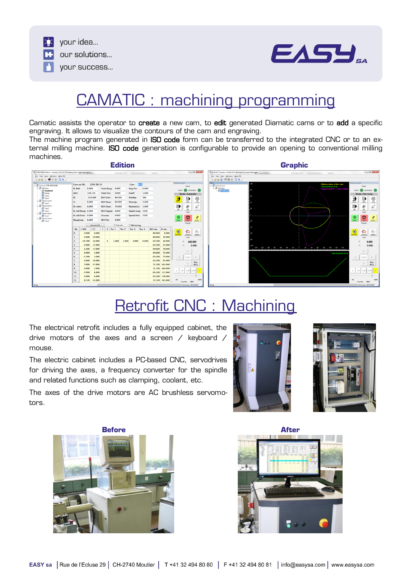



## CAMATIC : machining programming

Camatic assists the operator to create a new cam, to edit generated Diamatic cams or to add a specific engraving. It allows to visualize the contours of the cam and engraving.

The machine program generated in ISO code form can be transferred to the integrated CNC or to an external milling machine. ISO code generation is configurable to provide an opening to conventional milling machines.



# Retrofit CNC : Machining

The electrical retrofit includes a fully equipped cabinet, the drive motors of the axes and a screen / keyboard / mouse.

The electric cabinet includes a PC-based CNC, servodrives for driving the axes, a frequency converter for the spindle and related functions such as clamping, coolant, etc.

The axes of the drive motors are AC brushless servomotors.